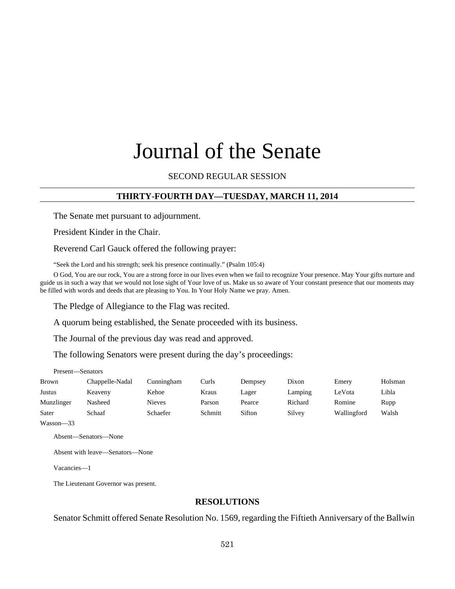# Journal of the Senate

SECOND REGULAR SESSION

# **THIRTY-FOURTH DAY—TUESDAY, MARCH 11, 2014**

The Senate met pursuant to adjournment.

President Kinder in the Chair.

Reverend Carl Gauck offered the following prayer:

"Seek the Lord and his strength; seek his presence continually." (Psalm 105:4)

O God, You are our rock, You are a strong force in our lives even when we fail to recognize Your presence. May Your gifts nurture and guide us in such a way that we would not lose sight of Your love of us. Make us so aware of Your constant presence that our moments may be filled with words and deeds that are pleasing to You. In Your Holy Name we pray. Amen.

The Pledge of Allegiance to the Flag was recited.

A quorum being established, the Senate proceeded with its business.

The Journal of the previous day was read and approved.

The following Senators were present during the day's proceedings:

Present—Senators

| <b>Brown</b> | Chappelle-Nadal | Cunningham    | Curls   | Dempsey | Dixon   | Emery       | Holsman |
|--------------|-----------------|---------------|---------|---------|---------|-------------|---------|
| Justus       | Keaveny         | Kehoe         | Kraus   | Lager   | Lamping | LeVota      | Libla   |
| Munzlinger   | Nasheed         | <b>Nieves</b> | Parson  | Pearce  | Richard | Romine      | Rupp    |
| Sater        | Schaaf          | Schaefer      | Schmitt | Sifton  | Silvey  | Wallingford | Walsh   |

Wasson—33

Absent—Senators—None

Absent with leave—Senators—None

Vacancies—1

The Lieutenant Governor was present.

#### **RESOLUTIONS**

Senator Schmitt offered Senate Resolution No. 1569, regarding the Fiftieth Anniversary of the Ballwin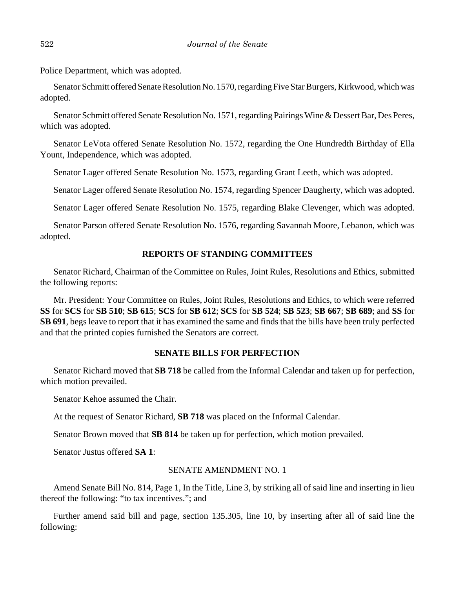Police Department, which was adopted.

Senator Schmitt offered Senate Resolution No. 1570, regarding Five Star Burgers, Kirkwood, which was adopted.

Senator Schmitt offered Senate Resolution No. 1571, regarding Pairings Wine & Dessert Bar, Des Peres, which was adopted.

Senator LeVota offered Senate Resolution No. 1572, regarding the One Hundredth Birthday of Ella Yount, Independence, which was adopted.

Senator Lager offered Senate Resolution No. 1573, regarding Grant Leeth, which was adopted.

Senator Lager offered Senate Resolution No. 1574, regarding Spencer Daugherty, which was adopted.

Senator Lager offered Senate Resolution No. 1575, regarding Blake Clevenger, which was adopted.

Senator Parson offered Senate Resolution No. 1576, regarding Savannah Moore, Lebanon, which was adopted.

## **REPORTS OF STANDING COMMITTEES**

Senator Richard, Chairman of the Committee on Rules, Joint Rules, Resolutions and Ethics, submitted the following reports:

Mr. President: Your Committee on Rules, Joint Rules, Resolutions and Ethics, to which were referred **SS** for **SCS** for **SB 510**; **SB 615**; **SCS** for **SB 612**; **SCS** for **SB 524**; **SB 523**; **SB 667**; **SB 689**; and **SS** for **SB 691**, begs leave to report that it has examined the same and finds that the bills have been truly perfected and that the printed copies furnished the Senators are correct.

## **SENATE BILLS FOR PERFECTION**

Senator Richard moved that **SB 718** be called from the Informal Calendar and taken up for perfection, which motion prevailed.

Senator Kehoe assumed the Chair.

At the request of Senator Richard, **SB 718** was placed on the Informal Calendar.

Senator Brown moved that **SB 814** be taken up for perfection, which motion prevailed.

Senator Justus offered **SA 1**:

## SENATE AMENDMENT NO. 1

Amend Senate Bill No. 814, Page 1, In the Title, Line 3, by striking all of said line and inserting in lieu thereof the following: "to tax incentives."; and

Further amend said bill and page, section 135.305, line 10, by inserting after all of said line the following: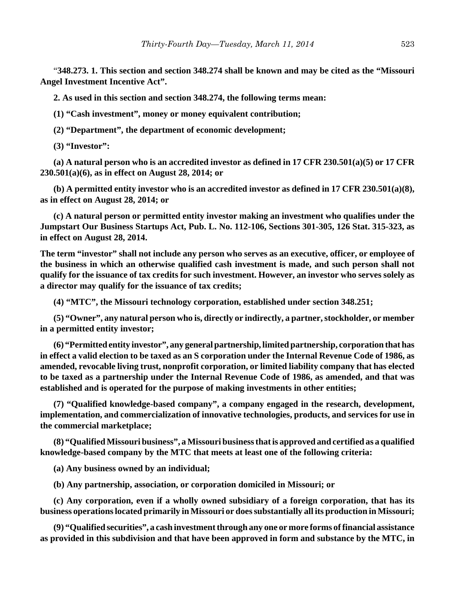"**348.273. 1. This section and section 348.274 shall be known and may be cited as the "Missouri Angel Investment Incentive Act".**

**2. As used in this section and section 348.274, the following terms mean:**

**(1) "Cash investment", money or money equivalent contribution;**

**(2) "Department", the department of economic development;**

**(3) "Investor":**

**(a) A natural person who is an accredited investor as defined in 17 CFR 230.501(a)(5) or 17 CFR 230.501(a)(6), as in effect on August 28, 2014; or**

**(b) A permitted entity investor who is an accredited investor as defined in 17 CFR 230.501(a)(8), as in effect on August 28, 2014; or**

**(c) A natural person or permitted entity investor making an investment who qualifies under the Jumpstart Our Business Startups Act, Pub. L. No. 112-106, Sections 301-305, 126 Stat. 315-323, as in effect on August 28, 2014.**

**The term "investor" shall not include any person who serves as an executive, officer, or employee of the business in which an otherwise qualified cash investment is made, and such person shall not qualify for the issuance of tax credits for such investment. However, an investor who serves solely as a director may qualify for the issuance of tax credits;**

**(4) "MTC", the Missouri technology corporation, established under section 348.251;**

**(5) "Owner", any natural person who is, directly or indirectly, a partner, stockholder, or member in a permitted entity investor;**

**(6) "Permitted entity investor", any general partnership, limited partnership, corporation that has in effect a valid election to be taxed as an S corporation under the Internal Revenue Code of 1986, as amended, revocable living trust, nonprofit corporation, or limited liability company that has elected to be taxed as a partnership under the Internal Revenue Code of 1986, as amended, and that was established and is operated for the purpose of making investments in other entities;**

**(7) "Qualified knowledge-based company", a company engaged in the research, development, implementation, and commercialization of innovative technologies, products, and services for use in the commercial marketplace;**

**(8) "Qualified Missouri business", a Missouri business that is approved and certified as a qualified knowledge-based company by the MTC that meets at least one of the following criteria:**

**(a) Any business owned by an individual;**

**(b) Any partnership, association, or corporation domiciled in Missouri; or**

**(c) Any corporation, even if a wholly owned subsidiary of a foreign corporation, that has its business operations located primarily in Missouri or does substantially all its production in Missouri;**

**(9) "Qualified securities", a cash investment through any one or more forms of financial assistance as provided in this subdivision and that have been approved in form and substance by the MTC, in**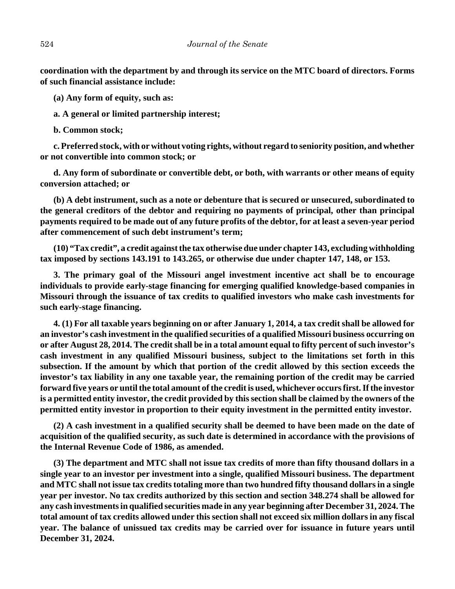**coordination with the department by and through its service on the MTC board of directors. Forms of such financial assistance include:**

**(a) Any form of equity, such as:**

**a. A general or limited partnership interest;**

**b. Common stock;**

**c. Preferred stock, with or without voting rights, without regard to seniority position, and whether or not convertible into common stock; or**

**d. Any form of subordinate or convertible debt, or both, with warrants or other means of equity conversion attached; or**

**(b) A debt instrument, such as a note or debenture that is secured or unsecured, subordinated to the general creditors of the debtor and requiring no payments of principal, other than principal payments required to be made out of any future profits of the debtor, for at least a seven-year period after commencement of such debt instrument's term;**

**(10) "Tax credit", a credit against the tax otherwise due under chapter 143, excluding withholding tax imposed by sections 143.191 to 143.265, or otherwise due under chapter 147, 148, or 153.**

**3. The primary goal of the Missouri angel investment incentive act shall be to encourage individuals to provide early-stage financing for emerging qualified knowledge-based companies in Missouri through the issuance of tax credits to qualified investors who make cash investments for such early-stage financing.**

**4. (1) For all taxable years beginning on or after January 1, 2014, a tax credit shall be allowed for an investor's cash investment in the qualified securities of a qualified Missouri business occurring on or after August 28, 2014. The credit shall be in a total amount equal to fifty percent of such investor's cash investment in any qualified Missouri business, subject to the limitations set forth in this subsection. If the amount by which that portion of the credit allowed by this section exceeds the investor's tax liability in any one taxable year, the remaining portion of the credit may be carried forward five years or until the total amount of the credit is used, whichever occurs first. If the investor is a permitted entity investor, the credit provided by this section shall be claimed by the owners of the permitted entity investor in proportion to their equity investment in the permitted entity investor.**

**(2) A cash investment in a qualified security shall be deemed to have been made on the date of acquisition of the qualified security, as such date is determined in accordance with the provisions of the Internal Revenue Code of 1986, as amended.**

**(3) The department and MTC shall not issue tax credits of more than fifty thousand dollars in a single year to an investor per investment into a single, qualified Missouri business. The department and MTC shall not issue tax credits totaling more than two hundred fifty thousand dollars in a single year per investor. No tax credits authorized by this section and section 348.274 shall be allowed for any cash investments in qualified securities made in any year beginning after December 31, 2024. The total amount of tax credits allowed under this section shall not exceed six million dollars in any fiscal year. The balance of unissued tax credits may be carried over for issuance in future years until December 31, 2024.**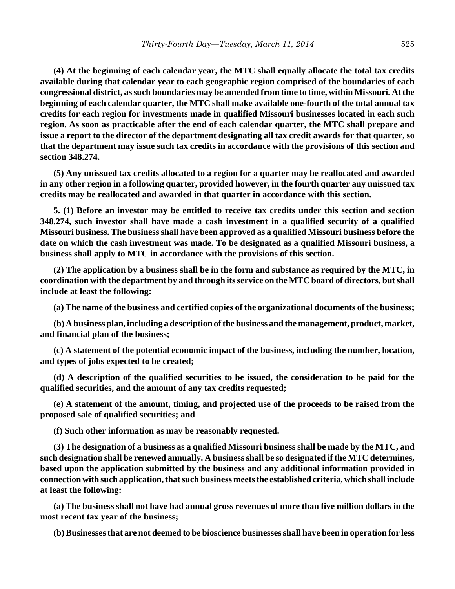**(4) At the beginning of each calendar year, the MTC shall equally allocate the total tax credits available during that calendar year to each geographic region comprised of the boundaries of each congressional district, as such boundaries may be amended from time to time, within Missouri. At the beginning of each calendar quarter, the MTC shall make available one-fourth of the total annual tax credits for each region for investments made in qualified Missouri businesses located in each such region. As soon as practicable after the end of each calendar quarter, the MTC shall prepare and issue a report to the director of the department designating all tax credit awards for that quarter, so that the department may issue such tax credits in accordance with the provisions of this section and section 348.274.**

**(5) Any unissued tax credits allocated to a region for a quarter may be reallocated and awarded in any other region in a following quarter, provided however, in the fourth quarter any unissued tax credits may be reallocated and awarded in that quarter in accordance with this section.**

**5. (1) Before an investor may be entitled to receive tax credits under this section and section 348.274, such investor shall have made a cash investment in a qualified security of a qualified Missouri business. The business shall have been approved as a qualified Missouri business before the date on which the cash investment was made. To be designated as a qualified Missouri business, a business shall apply to MTC in accordance with the provisions of this section.**

**(2) The application by a business shall be in the form and substance as required by the MTC, in coordination with the department by and through its service on the MTC board of directors, but shall include at least the following:**

**(a) The name of the business and certified copies of the organizational documents of the business;**

**(b) A business plan, including a description of the business and the management, product, market, and financial plan of the business;**

**(c) A statement of the potential economic impact of the business, including the number, location, and types of jobs expected to be created;**

**(d) A description of the qualified securities to be issued, the consideration to be paid for the qualified securities, and the amount of any tax credits requested;**

**(e) A statement of the amount, timing, and projected use of the proceeds to be raised from the proposed sale of qualified securities; and**

**(f) Such other information as may be reasonably requested.**

**(3) The designation of a business as a qualified Missouri business shall be made by the MTC, and such designation shall be renewed annually. A business shall be so designated if the MTC determines, based upon the application submitted by the business and any additional information provided in connection with such application, that such business meets the established criteria, which shall include at least the following:**

**(a) The business shall not have had annual gross revenues of more than five million dollars in the most recent tax year of the business;**

**(b) Businesses that are not deemed to be bioscience businesses shall have been in operation for less**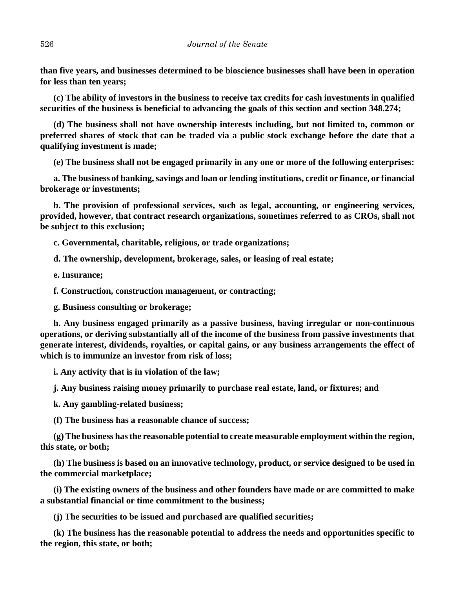**than five years, and businesses determined to be bioscience businesses shall have been in operation for less than ten years;**

**(c) The ability of investors in the business to receive tax credits for cash investments in qualified securities of the business is beneficial to advancing the goals of this section and section 348.274;**

**(d) The business shall not have ownership interests including, but not limited to, common or preferred shares of stock that can be traded via a public stock exchange before the date that a qualifying investment is made;**

**(e) The business shall not be engaged primarily in any one or more of the following enterprises:**

**a. The business of banking, savings and loan or lending institutions, credit or finance, or financial brokerage or investments;**

**b. The provision of professional services, such as legal, accounting, or engineering services, provided, however, that contract research organizations, sometimes referred to as CROs, shall not be subject to this exclusion;**

**c. Governmental, charitable, religious, or trade organizations;**

**d. The ownership, development, brokerage, sales, or leasing of real estate;**

**e. Insurance;**

**f. Construction, construction management, or contracting;**

**g. Business consulting or brokerage;**

**h. Any business engaged primarily as a passive business, having irregular or non-continuous operations, or deriving substantially all of the income of the business from passive investments that generate interest, dividends, royalties, or capital gains, or any business arrangements the effect of which is to immunize an investor from risk of loss;**

**i. Any activity that is in violation of the law;**

**j. Any business raising money primarily to purchase real estate, land, or fixtures; and**

**k. Any gambling-related business;**

**(f) The business has a reasonable chance of success;**

**(g) The business has the reasonable potential to create measurable employment within the region, this state, or both;**

**(h) The business is based on an innovative technology, product, or service designed to be used in the commercial marketplace;**

**(i) The existing owners of the business and other founders have made or are committed to make a substantial financial or time commitment to the business;**

**(j) The securities to be issued and purchased are qualified securities;**

**(k) The business has the reasonable potential to address the needs and opportunities specific to the region, this state, or both;**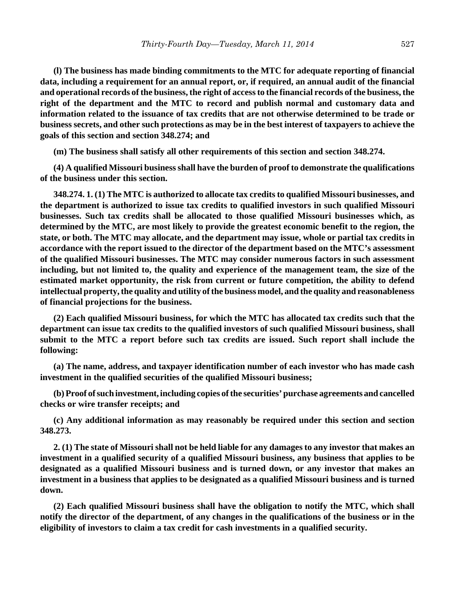**(l) The business has made binding commitments to the MTC for adequate reporting of financial data, including a requirement for an annual report, or, if required, an annual audit of the financial and operational records of the business, the right of access to the financial records of the business, the right of the department and the MTC to record and publish normal and customary data and information related to the issuance of tax credits that are not otherwise determined to be trade or business secrets, and other such protections as may be in the best interest of taxpayers to achieve the goals of this section and section 348.274; and**

**(m) The business shall satisfy all other requirements of this section and section 348.274.**

**(4) A qualified Missouri business shall have the burden of proof to demonstrate the qualifications of the business under this section.**

**348.274. 1. (1) The MTC is authorized to allocate tax credits to qualified Missouri businesses, and the department is authorized to issue tax credits to qualified investors in such qualified Missouri businesses. Such tax credits shall be allocated to those qualified Missouri businesses which, as determined by the MTC, are most likely to provide the greatest economic benefit to the region, the state, or both. The MTC may allocate, and the department may issue, whole or partial tax credits in accordance with the report issued to the director of the department based on the MTC's assessment of the qualified Missouri businesses. The MTC may consider numerous factors in such assessment including, but not limited to, the quality and experience of the management team, the size of the estimated market opportunity, the risk from current or future competition, the ability to defend intellectual property, the quality and utility of the business model, and the quality and reasonableness of financial projections for the business.**

**(2) Each qualified Missouri business, for which the MTC has allocated tax credits such that the department can issue tax credits to the qualified investors of such qualified Missouri business, shall submit to the MTC a report before such tax credits are issued. Such report shall include the following:**

**(a) The name, address, and taxpayer identification number of each investor who has made cash investment in the qualified securities of the qualified Missouri business;**

**(b) Proof of such investment, including copies of the securities' purchase agreements and cancelled checks or wire transfer receipts; and**

**(c) Any additional information as may reasonably be required under this section and section 348.273.**

**2. (1) The state of Missouri shall not be held liable for any damages to any investor that makes an investment in a qualified security of a qualified Missouri business, any business that applies to be designated as a qualified Missouri business and is turned down, or any investor that makes an investment in a business that applies to be designated as a qualified Missouri business and is turned down.**

**(2) Each qualified Missouri business shall have the obligation to notify the MTC, which shall notify the director of the department, of any changes in the qualifications of the business or in the eligibility of investors to claim a tax credit for cash investments in a qualified security.**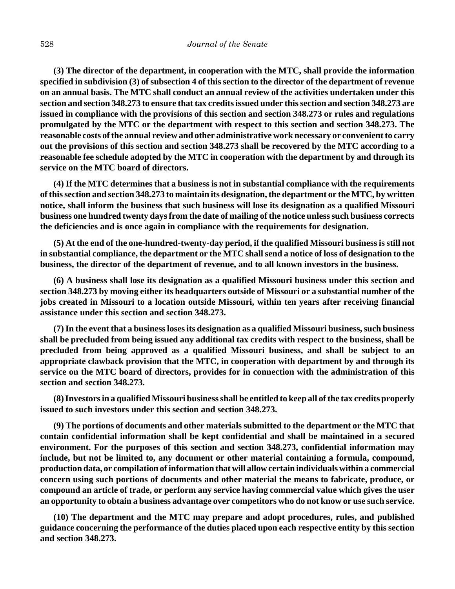**(3) The director of the department, in cooperation with the MTC, shall provide the information specified in subdivision (3) of subsection 4 of this section to the director of the department of revenue on an annual basis. The MTC shall conduct an annual review of the activities undertaken under this section and section 348.273 to ensure that tax credits issued under this section and section 348.273 are issued in compliance with the provisions of this section and section 348.273 or rules and regulations promulgated by the MTC or the department with respect to this section and section 348.273. The reasonable costs of the annual review and other administrative work necessary or convenient to carry out the provisions of this section and section 348.273 shall be recovered by the MTC according to a reasonable fee schedule adopted by the MTC in cooperation with the department by and through its service on the MTC board of directors.**

**(4) If the MTC determines that a business is not in substantial compliance with the requirements of this section and section 348.273 to maintain its designation, the department or the MTC, by written notice, shall inform the business that such business will lose its designation as a qualified Missouri business one hundred twenty days from the date of mailing of the notice unless such business corrects the deficiencies and is once again in compliance with the requirements for designation.**

**(5) At the end of the one-hundred-twenty-day period, if the qualified Missouri business is still not in substantial compliance, the department or the MTC shall send a notice of loss of designation to the business, the director of the department of revenue, and to all known investors in the business.**

**(6) A business shall lose its designation as a qualified Missouri business under this section and section 348.273 by moving either its headquarters outside of Missouri or a substantial number of the jobs created in Missouri to a location outside Missouri, within ten years after receiving financial assistance under this section and section 348.273.**

**(7) In the event that a business loses its designation as a qualified Missouri business, such business shall be precluded from being issued any additional tax credits with respect to the business, shall be precluded from being approved as a qualified Missouri business, and shall be subject to an appropriate clawback provision that the MTC, in cooperation with department by and through its service on the MTC board of directors, provides for in connection with the administration of this section and section 348.273.**

**(8) Investors in a qualified Missouri business shall be entitled to keep all of the tax credits properly issued to such investors under this section and section 348.273.**

**(9) The portions of documents and other materials submitted to the department or the MTC that contain confidential information shall be kept confidential and shall be maintained in a secured environment. For the purposes of this section and section 348.273, confidential information may include, but not be limited to, any document or other material containing a formula, compound, production data, or compilation of information that will allow certain individuals within a commercial concern using such portions of documents and other material the means to fabricate, produce, or compound an article of trade, or perform any service having commercial value which gives the user an opportunity to obtain a business advantage over competitors who do not know or use such service.**

**(10) The department and the MTC may prepare and adopt procedures, rules, and published guidance concerning the performance of the duties placed upon each respective entity by this section and section 348.273.**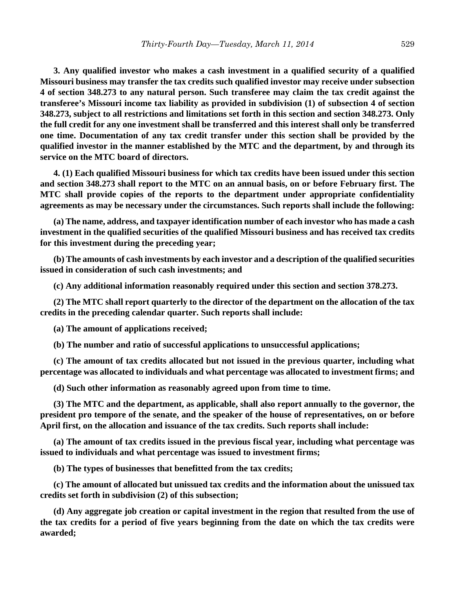**3. Any qualified investor who makes a cash investment in a qualified security of a qualified Missouri business may transfer the tax credits such qualified investor may receive under subsection 4 of section 348.273 to any natural person. Such transferee may claim the tax credit against the transferee's Missouri income tax liability as provided in subdivision (1) of subsection 4 of section 348.273, subject to all restrictions and limitations set forth in this section and section 348.273. Only the full credit for any one investment shall be transferred and this interest shall only be transferred one time. Documentation of any tax credit transfer under this section shall be provided by the qualified investor in the manner established by the MTC and the department, by and through its service on the MTC board of directors.**

**4. (1) Each qualified Missouri business for which tax credits have been issued under this section and section 348.273 shall report to the MTC on an annual basis, on or before February first. The MTC shall provide copies of the reports to the department under appropriate confidentiality agreements as may be necessary under the circumstances. Such reports shall include the following:**

**(a) The name, address, and taxpayer identification number of each investor who has made a cash investment in the qualified securities of the qualified Missouri business and has received tax credits for this investment during the preceding year;**

**(b) The amounts of cash investments by each investor and a description of the qualified securities issued in consideration of such cash investments; and**

**(c) Any additional information reasonably required under this section and section 378.273.**

**(2) The MTC shall report quarterly to the director of the department on the allocation of the tax credits in the preceding calendar quarter. Such reports shall include:**

**(a) The amount of applications received;**

**(b) The number and ratio of successful applications to unsuccessful applications;**

**(c) The amount of tax credits allocated but not issued in the previous quarter, including what percentage was allocated to individuals and what percentage was allocated to investment firms; and**

**(d) Such other information as reasonably agreed upon from time to time.**

**(3) The MTC and the department, as applicable, shall also report annually to the governor, the president pro tempore of the senate, and the speaker of the house of representatives, on or before April first, on the allocation and issuance of the tax credits. Such reports shall include:**

**(a) The amount of tax credits issued in the previous fiscal year, including what percentage was issued to individuals and what percentage was issued to investment firms;**

**(b) The types of businesses that benefitted from the tax credits;**

**(c) The amount of allocated but unissued tax credits and the information about the unissued tax credits set forth in subdivision (2) of this subsection;**

**(d) Any aggregate job creation or capital investment in the region that resulted from the use of the tax credits for a period of five years beginning from the date on which the tax credits were awarded;**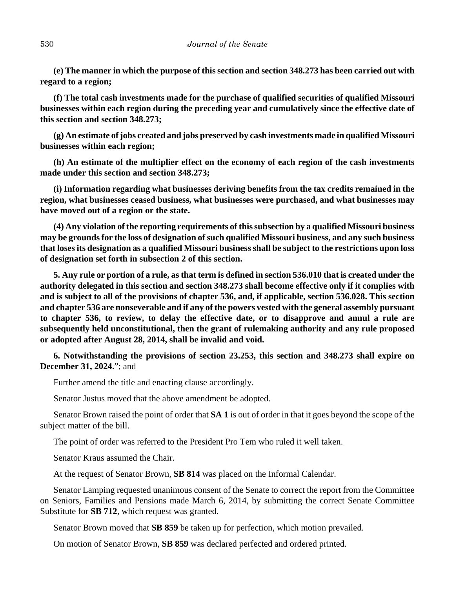**(e) The manner in which the purpose of this section and section 348.273 has been carried out with regard to a region;**

**(f) The total cash investments made for the purchase of qualified securities of qualified Missouri businesses within each region during the preceding year and cumulatively since the effective date of this section and section 348.273;**

**(g) An estimate of jobs created and jobs preserved by cash investments made in qualified Missouri businesses within each region;**

**(h) An estimate of the multiplier effect on the economy of each region of the cash investments made under this section and section 348.273;**

**(i) Information regarding what businesses deriving benefits from the tax credits remained in the region, what businesses ceased business, what businesses were purchased, and what businesses may have moved out of a region or the state.**

**(4) Any violation of the reporting requirements of this subsection by a qualified Missouri business may be grounds for the loss of designation of such qualified Missouri business, and any such business that loses its designation as a qualified Missouri business shall be subject to the restrictions upon loss of designation set forth in subsection 2 of this section.**

**5. Any rule or portion of a rule, as that term is defined in section 536.010 that is created under the authority delegated in this section and section 348.273 shall become effective only if it complies with and is subject to all of the provisions of chapter 536, and, if applicable, section 536.028. This section and chapter 536 are nonseverable and if any of the powers vested with the general assembly pursuant to chapter 536, to review, to delay the effective date, or to disapprove and annul a rule are subsequently held unconstitutional, then the grant of rulemaking authority and any rule proposed or adopted after August 28, 2014, shall be invalid and void.**

**6. Notwithstanding the provisions of section 23.253, this section and 348.273 shall expire on December 31, 2024.**"; and

Further amend the title and enacting clause accordingly.

Senator Justus moved that the above amendment be adopted.

Senator Brown raised the point of order that **SA 1** is out of order in that it goes beyond the scope of the subject matter of the bill.

The point of order was referred to the President Pro Tem who ruled it well taken.

Senator Kraus assumed the Chair.

At the request of Senator Brown, **SB 814** was placed on the Informal Calendar.

Senator Lamping requested unanimous consent of the Senate to correct the report from the Committee on Seniors, Families and Pensions made March 6, 2014, by submitting the correct Senate Committee Substitute for **SB 712**, which request was granted.

Senator Brown moved that **SB 859** be taken up for perfection, which motion prevailed.

On motion of Senator Brown, **SB 859** was declared perfected and ordered printed.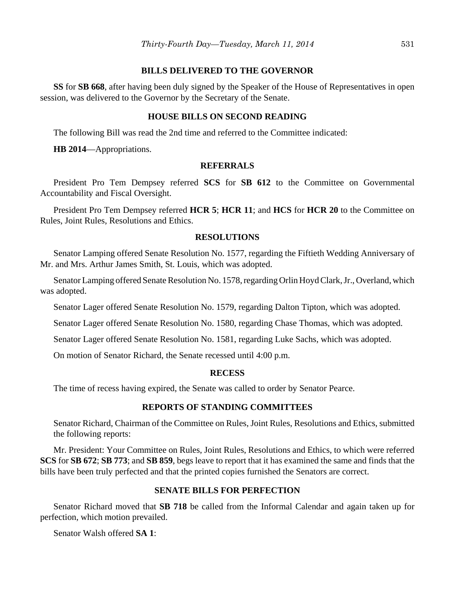## **BILLS DELIVERED TO THE GOVERNOR**

**SS** for **SB 668**, after having been duly signed by the Speaker of the House of Representatives in open session, was delivered to the Governor by the Secretary of the Senate.

## **HOUSE BILLS ON SECOND READING**

The following Bill was read the 2nd time and referred to the Committee indicated:

**HB 2014**—Appropriations.

#### **REFERRALS**

President Pro Tem Dempsey referred **SCS** for **SB 612** to the Committee on Governmental Accountability and Fiscal Oversight.

President Pro Tem Dempsey referred **HCR 5**; **HCR 11**; and **HCS** for **HCR 20** to the Committee on Rules, Joint Rules, Resolutions and Ethics.

# **RESOLUTIONS**

Senator Lamping offered Senate Resolution No. 1577, regarding the Fiftieth Wedding Anniversary of Mr. and Mrs. Arthur James Smith, St. Louis, which was adopted.

Senator Lamping offered Senate Resolution No. 1578, regarding Orlin Hoyd Clark, Jr., Overland, which was adopted.

Senator Lager offered Senate Resolution No. 1579, regarding Dalton Tipton, which was adopted.

Senator Lager offered Senate Resolution No. 1580, regarding Chase Thomas, which was adopted.

Senator Lager offered Senate Resolution No. 1581, regarding Luke Sachs, which was adopted.

On motion of Senator Richard, the Senate recessed until 4:00 p.m.

## **RECESS**

The time of recess having expired, the Senate was called to order by Senator Pearce.

## **REPORTS OF STANDING COMMITTEES**

Senator Richard, Chairman of the Committee on Rules, Joint Rules, Resolutions and Ethics, submitted the following reports:

Mr. President: Your Committee on Rules, Joint Rules, Resolutions and Ethics, to which were referred **SCS** for **SB 672**; **SB 773**; and **SB 859**, begs leave to report that it has examined the same and finds that the bills have been truly perfected and that the printed copies furnished the Senators are correct.

## **SENATE BILLS FOR PERFECTION**

Senator Richard moved that **SB 718** be called from the Informal Calendar and again taken up for perfection, which motion prevailed.

Senator Walsh offered **SA 1**: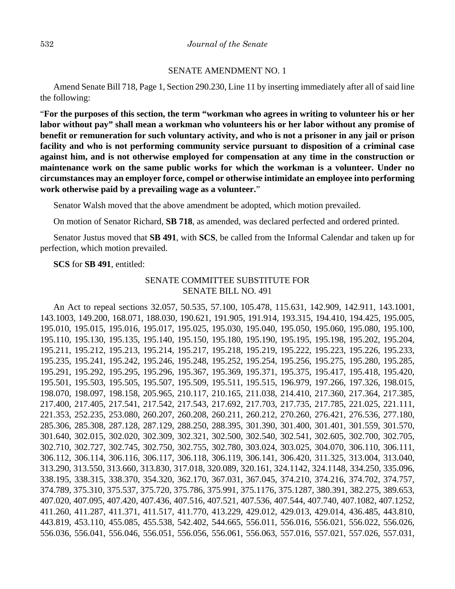#### SENATE AMENDMENT NO. 1

Amend Senate Bill 718, Page 1, Section 290.230, Line 11 by inserting immediately after all of said line the following:

"**For the purposes of this section, the term "workman who agrees in writing to volunteer his or her labor without pay" shall mean a workman who volunteers his or her labor without any promise of benefit or remuneration for such voluntary activity, and who is not a prisoner in any jail or prison facility and who is not performing community service pursuant to disposition of a criminal case against him, and is not otherwise employed for compensation at any time in the construction or maintenance work on the same public works for which the workman is a volunteer. Under no circumstances may an employer force, compel or otherwise intimidate an employee into performing work otherwise paid by a prevailing wage as a volunteer.**"

Senator Walsh moved that the above amendment be adopted, which motion prevailed.

On motion of Senator Richard, **SB 718**, as amended, was declared perfected and ordered printed.

Senator Justus moved that **SB 491**, with **SCS**, be called from the Informal Calendar and taken up for perfection, which motion prevailed.

#### **SCS** for **SB 491**, entitled:

# SENATE COMMITTEE SUBSTITUTE FOR SENATE BILL NO. 491

An Act to repeal sections 32.057, 50.535, 57.100, 105.478, 115.631, 142.909, 142.911, 143.1001, 143.1003, 149.200, 168.071, 188.030, 190.621, 191.905, 191.914, 193.315, 194.410, 194.425, 195.005, 195.010, 195.015, 195.016, 195.017, 195.025, 195.030, 195.040, 195.050, 195.060, 195.080, 195.100, 195.110, 195.130, 195.135, 195.140, 195.150, 195.180, 195.190, 195.195, 195.198, 195.202, 195.204, 195.211, 195.212, 195.213, 195.214, 195.217, 195.218, 195.219, 195.222, 195.223, 195.226, 195.233, 195.235, 195.241, 195.242, 195.246, 195.248, 195.252, 195.254, 195.256, 195.275, 195.280, 195.285, 195.291, 195.292, 195.295, 195.296, 195.367, 195.369, 195.371, 195.375, 195.417, 195.418, 195.420, 195.501, 195.503, 195.505, 195.507, 195.509, 195.511, 195.515, 196.979, 197.266, 197.326, 198.015, 198.070, 198.097, 198.158, 205.965, 210.117, 210.165, 211.038, 214.410, 217.360, 217.364, 217.385, 217.400, 217.405, 217.541, 217.542, 217.543, 217.692, 217.703, 217.735, 217.785, 221.025, 221.111, 221.353, 252.235, 253.080, 260.207, 260.208, 260.211, 260.212, 270.260, 276.421, 276.536, 277.180, 285.306, 285.308, 287.128, 287.129, 288.250, 288.395, 301.390, 301.400, 301.401, 301.559, 301.570, 301.640, 302.015, 302.020, 302.309, 302.321, 302.500, 302.540, 302.541, 302.605, 302.700, 302.705, 302.710, 302.727, 302.745, 302.750, 302.755, 302.780, 303.024, 303.025, 304.070, 306.110, 306.111, 306.112, 306.114, 306.116, 306.117, 306.118, 306.119, 306.141, 306.420, 311.325, 313.004, 313.040, 313.290, 313.550, 313.660, 313.830, 317.018, 320.089, 320.161, 324.1142, 324.1148, 334.250, 335.096, 338.195, 338.315, 338.370, 354.320, 362.170, 367.031, 367.045, 374.210, 374.216, 374.702, 374.757, 374.789, 375.310, 375.537, 375.720, 375.786, 375.991, 375.1176, 375.1287, 380.391, 382.275, 389.653, 407.020, 407.095, 407.420, 407.436, 407.516, 407.521, 407.536, 407.544, 407.740, 407.1082, 407.1252, 411.260, 411.287, 411.371, 411.517, 411.770, 413.229, 429.012, 429.013, 429.014, 436.485, 443.810, 443.819, 453.110, 455.085, 455.538, 542.402, 544.665, 556.011, 556.016, 556.021, 556.022, 556.026, 556.036, 556.041, 556.046, 556.051, 556.056, 556.061, 556.063, 557.016, 557.021, 557.026, 557.031,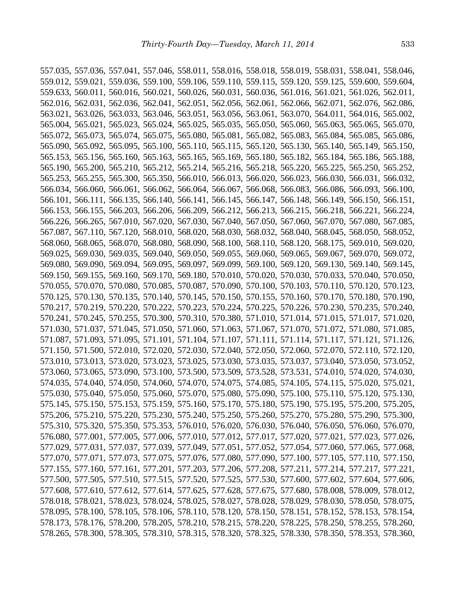557.035, 557.036, 557.041, 557.046, 558.011, 558.016, 558.018, 558.019, 558.031, 558.041, 558.046, 559.012, 559.021, 559.036, 559.100, 559.106, 559.110, 559.115, 559.120, 559.125, 559.600, 559.604, 559.633, 560.011, 560.016, 560.021, 560.026, 560.031, 560.036, 561.016, 561.021, 561.026, 562.011, 562.016, 562.031, 562.036, 562.041, 562.051, 562.056, 562.061, 562.066, 562.071, 562.076, 562.086, 563.021, 563.026, 563.033, 563.046, 563.051, 563.056, 563.061, 563.070, 564.011, 564.016, 565.002, 565.004, 565.021, 565.023, 565.024, 565.025, 565.035, 565.050, 565.060, 565.063, 565.065, 565.070, 565.072, 565.073, 565.074, 565.075, 565.080, 565.081, 565.082, 565.083, 565.084, 565.085, 565.086, 565.090, 565.092, 565.095, 565.100, 565.110, 565.115, 565.120, 565.130, 565.140, 565.149, 565.150, 565.153, 565.156, 565.160, 565.163, 565.165, 565.169, 565.180, 565.182, 565.184, 565.186, 565.188, 565.190, 565.200, 565.210, 565.212, 565.214, 565.216, 565.218, 565.220, 565.225, 565.250, 565.252, 565.253, 565.255, 565.300, 565.350, 566.010, 566.013, 566.020, 566.023, 566.030, 566.031, 566.032, 566.034, 566.060, 566.061, 566.062, 566.064, 566.067, 566.068, 566.083, 566.086, 566.093, 566.100, 566.101, 566.111, 566.135, 566.140, 566.141, 566.145, 566.147, 566.148, 566.149, 566.150, 566.151, 566.153, 566.155, 566.203, 566.206, 566.209, 566.212, 566.213, 566.215, 566.218, 566.221, 566.224, 566.226, 566.265, 567.010, 567.020, 567.030, 567.040, 567.050, 567.060, 567.070, 567.080, 567.085, 567.087, 567.110, 567.120, 568.010, 568.020, 568.030, 568.032, 568.040, 568.045, 568.050, 568.052, 568.060, 568.065, 568.070, 568.080, 568.090, 568.100, 568.110, 568.120, 568.175, 569.010, 569.020, 569.025, 569.030, 569.035, 569.040, 569.050, 569.055, 569.060, 569.065, 569.067, 569.070, 569.072, 569.080, 569.090, 569.094, 569.095, 569.097, 569.099, 569.100, 569.120, 569.130, 569.140, 569.145, 569.150, 569.155, 569.160, 569.170, 569.180, 570.010, 570.020, 570.030, 570.033, 570.040, 570.050, 570.055, 570.070, 570.080, 570.085, 570.087, 570.090, 570.100, 570.103, 570.110, 570.120, 570.123, 570.125, 570.130, 570.135, 570.140, 570.145, 570.150, 570.155, 570.160, 570.170, 570.180, 570.190, 570.217, 570.219, 570.220, 570.222, 570.223, 570.224, 570.225, 570.226, 570.230, 570.235, 570.240, 570.241, 570.245, 570.255, 570.300, 570.310, 570.380, 571.010, 571.014, 571.015, 571.017, 571.020, 571.030, 571.037, 571.045, 571.050, 571.060, 571.063, 571.067, 571.070, 571.072, 571.080, 571.085, 571.087, 571.093, 571.095, 571.101, 571.104, 571.107, 571.111, 571.114, 571.117, 571.121, 571.126, 571.150, 571.500, 572.010, 572.020, 572.030, 572.040, 572.050, 572.060, 572.070, 572.110, 572.120, 573.010, 573.013, 573.020, 573.023, 573.025, 573.030, 573.035, 573.037, 573.040, 573.050, 573.052, 573.060, 573.065, 573.090, 573.100, 573.500, 573.509, 573.528, 573.531, 574.010, 574.020, 574.030, 574.035, 574.040, 574.050, 574.060, 574.070, 574.075, 574.085, 574.105, 574.115, 575.020, 575.021, 575.030, 575.040, 575.050, 575.060, 575.070, 575.080, 575.090, 575.100, 575.110, 575.120, 575.130, 575.145, 575.150, 575.153, 575.159, 575.160, 575.170, 575.180, 575.190, 575.195, 575.200, 575.205, 575.206, 575.210, 575.220, 575.230, 575.240, 575.250, 575.260, 575.270, 575.280, 575.290, 575.300, 575.310, 575.320, 575.350, 575.353, 576.010, 576.020, 576.030, 576.040, 576.050, 576.060, 576.070, 576.080, 577.001, 577.005, 577.006, 577.010, 577.012, 577.017, 577.020, 577.021, 577.023, 577.026, 577.029, 577.031, 577.037, 577.039, 577.049, 577.051, 577.052, 577.054, 577.060, 577.065, 577.068, 577.070, 577.071, 577.073, 577.075, 577.076, 577.080, 577.090, 577.100, 577.105, 577.110, 577.150, 577.155, 577.160, 577.161, 577.201, 577.203, 577.206, 577.208, 577.211, 577.214, 577.217, 577.221, 577.500, 577.505, 577.510, 577.515, 577.520, 577.525, 577.530, 577.600, 577.602, 577.604, 577.606, 577.608, 577.610, 577.612, 577.614, 577.625, 577.628, 577.675, 577.680, 578.008, 578.009, 578.012, 578.018, 578.021, 578.023, 578.024, 578.025, 578.027, 578.028, 578.029, 578.030, 578.050, 578.075, 578.095, 578.100, 578.105, 578.106, 578.110, 578.120, 578.150, 578.151, 578.152, 578.153, 578.154, 578.173, 578.176, 578.200, 578.205, 578.210, 578.215, 578.220, 578.225, 578.250, 578.255, 578.260, 578.265, 578.300, 578.305, 578.310, 578.315, 578.320, 578.325, 578.330, 578.350, 578.353, 578.360,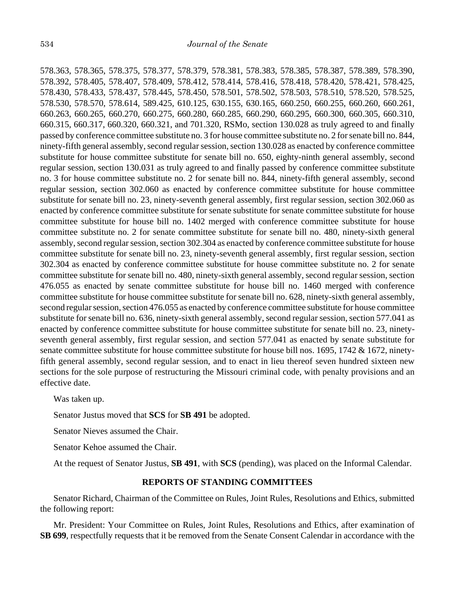578.363, 578.365, 578.375, 578.377, 578.379, 578.381, 578.383, 578.385, 578.387, 578.389, 578.390, 578.392, 578.405, 578.407, 578.409, 578.412, 578.414, 578.416, 578.418, 578.420, 578.421, 578.425, 578.430, 578.433, 578.437, 578.445, 578.450, 578.501, 578.502, 578.503, 578.510, 578.520, 578.525, 578.530, 578.570, 578.614, 589.425, 610.125, 630.155, 630.165, 660.250, 660.255, 660.260, 660.261, 660.263, 660.265, 660.270, 660.275, 660.280, 660.285, 660.290, 660.295, 660.300, 660.305, 660.310, 660.315, 660.317, 660.320, 660.321, and 701.320, RSMo, section 130.028 as truly agreed to and finally passed by conference committee substitute no. 3 for house committee substitute no. 2 for senate bill no. 844, ninety-fifth general assembly, second regular session, section 130.028 as enacted by conference committee substitute for house committee substitute for senate bill no. 650, eighty-ninth general assembly, second regular session, section 130.031 as truly agreed to and finally passed by conference committee substitute no. 3 for house committee substitute no. 2 for senate bill no. 844, ninety-fifth general assembly, second regular session, section 302.060 as enacted by conference committee substitute for house committee substitute for senate bill no. 23, ninety-seventh general assembly, first regular session, section 302.060 as enacted by conference committee substitute for senate substitute for senate committee substitute for house committee substitute for house bill no. 1402 merged with conference committee substitute for house committee substitute no. 2 for senate committee substitute for senate bill no. 480, ninety-sixth general assembly, second regular session, section 302.304 as enacted by conference committee substitute for house committee substitute for senate bill no. 23, ninety-seventh general assembly, first regular session, section 302.304 as enacted by conference committee substitute for house committee substitute no. 2 for senate committee substitute for senate bill no. 480, ninety-sixth general assembly, second regular session, section 476.055 as enacted by senate committee substitute for house bill no. 1460 merged with conference committee substitute for house committee substitute for senate bill no. 628, ninety-sixth general assembly, second regular session, section 476.055 as enacted by conference committee substitute for house committee substitute for senate bill no. 636, ninety-sixth general assembly, second regular session, section 577.041 as enacted by conference committee substitute for house committee substitute for senate bill no. 23, ninetyseventh general assembly, first regular session, and section 577.041 as enacted by senate substitute for senate committee substitute for house committee substitute for house bill nos. 1695, 1742 & 1672, ninetyfifth general assembly, second regular session, and to enact in lieu thereof seven hundred sixteen new sections for the sole purpose of restructuring the Missouri criminal code, with penalty provisions and an effective date.

Was taken up.

Senator Justus moved that **SCS** for **SB 491** be adopted.

Senator Nieves assumed the Chair.

Senator Kehoe assumed the Chair.

At the request of Senator Justus, **SB 491**, with **SCS** (pending), was placed on the Informal Calendar.

## **REPORTS OF STANDING COMMITTEES**

Senator Richard, Chairman of the Committee on Rules, Joint Rules, Resolutions and Ethics, submitted the following report:

Mr. President: Your Committee on Rules, Joint Rules, Resolutions and Ethics, after examination of **SB 699**, respectfully requests that it be removed from the Senate Consent Calendar in accordance with the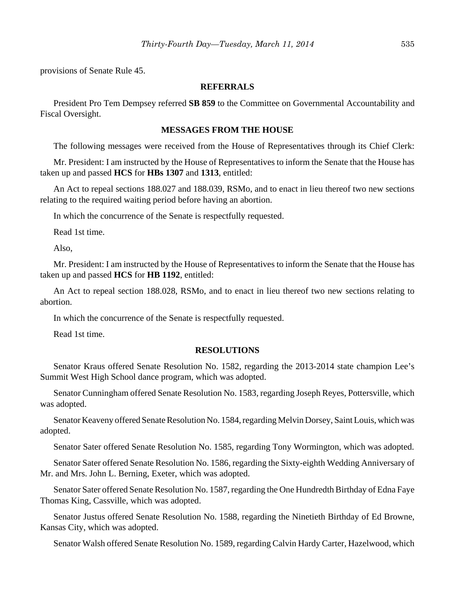provisions of Senate Rule 45.

#### **REFERRALS**

President Pro Tem Dempsey referred **SB 859** to the Committee on Governmental Accountability and Fiscal Oversight.

## **MESSAGES FROM THE HOUSE**

The following messages were received from the House of Representatives through its Chief Clerk:

Mr. President: I am instructed by the House of Representatives to inform the Senate that the House has taken up and passed **HCS** for **HBs 1307** and **1313**, entitled:

An Act to repeal sections 188.027 and 188.039, RSMo, and to enact in lieu thereof two new sections relating to the required waiting period before having an abortion.

In which the concurrence of the Senate is respectfully requested.

Read 1st time.

Also,

Mr. President: I am instructed by the House of Representatives to inform the Senate that the House has taken up and passed **HCS** for **HB 1192**, entitled:

An Act to repeal section 188.028, RSMo, and to enact in lieu thereof two new sections relating to abortion.

In which the concurrence of the Senate is respectfully requested.

Read 1st time.

#### **RESOLUTIONS**

Senator Kraus offered Senate Resolution No. 1582, regarding the 2013-2014 state champion Lee's Summit West High School dance program, which was adopted.

Senator Cunningham offered Senate Resolution No. 1583, regarding Joseph Reyes, Pottersville, which was adopted.

Senator Keaveny offered Senate Resolution No. 1584, regarding Melvin Dorsey, Saint Louis, which was adopted.

Senator Sater offered Senate Resolution No. 1585, regarding Tony Wormington, which was adopted.

Senator Sater offered Senate Resolution No. 1586, regarding the Sixty-eighth Wedding Anniversary of Mr. and Mrs. John L. Berning, Exeter, which was adopted.

Senator Sater offered Senate Resolution No. 1587, regarding the One Hundredth Birthday of Edna Faye Thomas King, Cassville, which was adopted.

Senator Justus offered Senate Resolution No. 1588, regarding the Ninetieth Birthday of Ed Browne, Kansas City, which was adopted.

Senator Walsh offered Senate Resolution No. 1589, regarding Calvin Hardy Carter, Hazelwood, which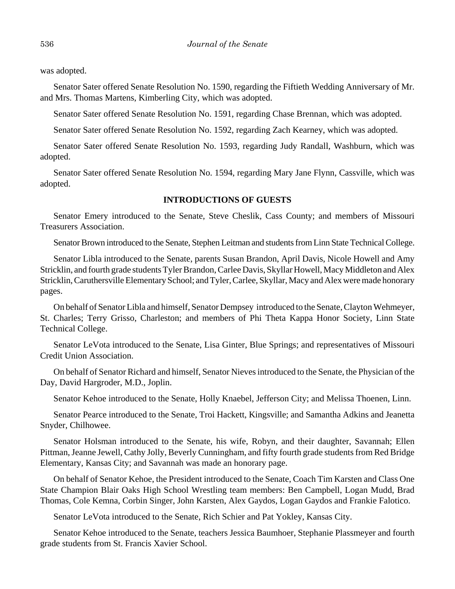was adopted.

Senator Sater offered Senate Resolution No. 1590, regarding the Fiftieth Wedding Anniversary of Mr. and Mrs. Thomas Martens, Kimberling City, which was adopted.

Senator Sater offered Senate Resolution No. 1591, regarding Chase Brennan, which was adopted.

Senator Sater offered Senate Resolution No. 1592, regarding Zach Kearney, which was adopted.

Senator Sater offered Senate Resolution No. 1593, regarding Judy Randall, Washburn, which was adopted.

Senator Sater offered Senate Resolution No. 1594, regarding Mary Jane Flynn, Cassville, which was adopted.

## **INTRODUCTIONS OF GUESTS**

Senator Emery introduced to the Senate, Steve Cheslik, Cass County; and members of Missouri Treasurers Association.

Senator Brown introduced to the Senate, Stephen Leitman and students from Linn State Technical College.

Senator Libla introduced to the Senate, parents Susan Brandon, April Davis, Nicole Howell and Amy Stricklin, and fourth grade students Tyler Brandon, Carlee Davis, Skyllar Howell, Macy Middleton and Alex Stricklin, Caruthersville Elementary School; and Tyler, Carlee, Skyllar, Macy and Alex were made honorary pages.

On behalf of Senator Libla and himself, Senator Dempsey introduced to the Senate, Clayton Wehmeyer, St. Charles; Terry Grisso, Charleston; and members of Phi Theta Kappa Honor Society, Linn State Technical College.

Senator LeVota introduced to the Senate, Lisa Ginter, Blue Springs; and representatives of Missouri Credit Union Association.

On behalf of Senator Richard and himself, Senator Nieves introduced to the Senate, the Physician of the Day, David Hargroder, M.D., Joplin.

Senator Kehoe introduced to the Senate, Holly Knaebel, Jefferson City; and Melissa Thoenen, Linn.

Senator Pearce introduced to the Senate, Troi Hackett, Kingsville; and Samantha Adkins and Jeanetta Snyder, Chilhowee.

Senator Holsman introduced to the Senate, his wife, Robyn, and their daughter, Savannah; Ellen Pittman, Jeanne Jewell, Cathy Jolly, Beverly Cunningham, and fifty fourth grade students from Red Bridge Elementary, Kansas City; and Savannah was made an honorary page.

On behalf of Senator Kehoe, the President introduced to the Senate, Coach Tim Karsten and Class One State Champion Blair Oaks High School Wrestling team members: Ben Campbell, Logan Mudd, Brad Thomas, Cole Kemna, Corbin Singer, John Karsten, Alex Gaydos, Logan Gaydos and Frankie Falotico.

Senator LeVota introduced to the Senate, Rich Schier and Pat Yokley, Kansas City.

Senator Kehoe introduced to the Senate, teachers Jessica Baumhoer, Stephanie Plassmeyer and fourth grade students from St. Francis Xavier School.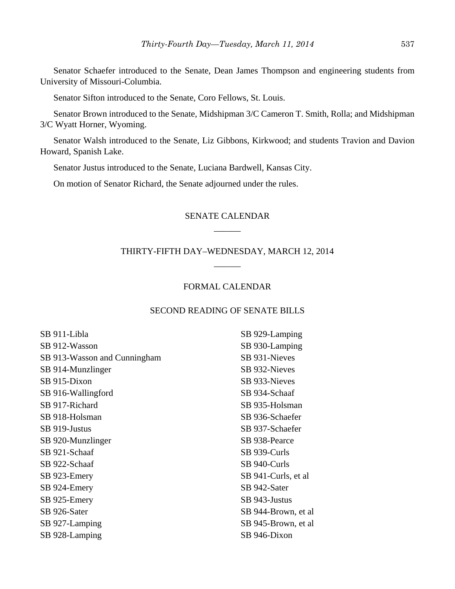Senator Schaefer introduced to the Senate, Dean James Thompson and engineering students from University of Missouri-Columbia.

Senator Sifton introduced to the Senate, Coro Fellows, St. Louis.

Senator Brown introduced to the Senate, Midshipman 3/C Cameron T. Smith, Rolla; and Midshipman 3/C Wyatt Horner, Wyoming.

Senator Walsh introduced to the Senate, Liz Gibbons, Kirkwood; and students Travion and Davion Howard, Spanish Lake.

Senator Justus introduced to the Senate, Luciana Bardwell, Kansas City.

On motion of Senator Richard, the Senate adjourned under the rules.

# SENATE CALENDAR \_\_\_\_\_\_

# THIRTY-FIFTH DAY–WEDNESDAY, MARCH 12, 2014 \_\_\_\_\_\_

# FORMAL CALENDAR

## SECOND READING OF SENATE BILLS

| SB 911-Libla                 | SB 929-Lamping       |
|------------------------------|----------------------|
| SB 912-Wasson                | SB 930-Lamping       |
| SB 913-Wasson and Cunningham | SB 931-Nieves        |
| SB 914-Munzlinger            | SB 932-Nieves        |
| SB 915-Dixon                 | SB 933-Nieves        |
| SB 916-Wallingford           | SB 934-Schaaf        |
| SB 917-Richard               | SB 935-Holsman       |
| SB 918-Holsman               | SB 936-Schaefer      |
| SB 919-Justus                | SB 937-Schaefer      |
| SB 920-Munzlinger            | SB 938-Pearce        |
| SB 921-Schaaf                | SB 939-Curls         |
| SB 922-Schaaf                | SB 940-Curls         |
| SB 923-Emery                 | SB 941-Curls, et al. |
| SB 924-Emery                 | SB 942-Sater         |
| SB 925-Emery                 | SB 943-Justus        |
| SB 926-Sater                 | SB 944-Brown, et al  |
| SB 927-Lamping               | SB 945-Brown, et al  |
| SB 928-Lamping               | SB 946-Dixon         |
|                              |                      |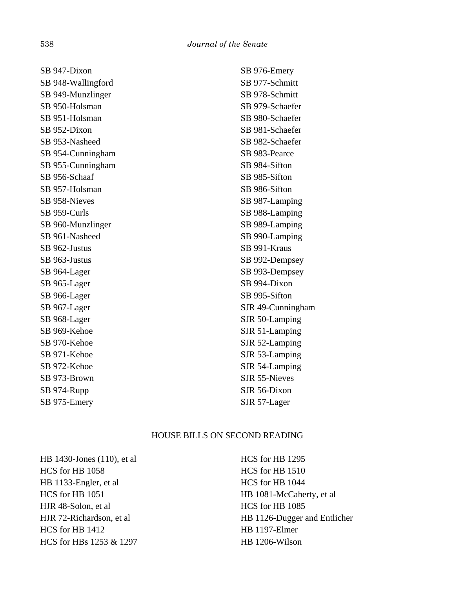SB 947-Dixon SB 948-Wallingford SB 949-Munzlinger SB 950-Holsman SB 951-Holsman SB 952-Dixon SB 953-Nasheed SB 954-Cunningham SB 955-Cunningham SB 956-Schaaf SB 957-Holsman SB 958-Nieves SB 959-Curls SB 960-Munzlinger SB 961-Nasheed SB 962-Justus SB 963-Justus SB 964-Lager SB 965-Lager SB 966-Lager SB 967-Lager SB 968-Lager SB 969-Kehoe SB 970-Kehoe SB 971-Kehoe SB 972-Kehoe SB 973-Brown SB 974-Rupp SB 975-Emery

SB 976-Emery SB 977-Schmitt SB 978-Schmitt SB 979-Schaefer SB 980-Schaefer SB 981-Schaefer SB 982-Schaefer SB 983-Pearce SB 984-Sifton SB 985-Sifton SB 986-Sifton SB 987-Lamping SB 988-Lamping SB 989-Lamping SB 990-Lamping SB 991-Kraus SB 992-Dempsey SB 993-Dempsey SB 994-Dixon SB 995-Sifton SJR 49-Cunningham SJR 50-Lamping SJR 51-Lamping SJR 52-Lamping SJR 53-Lamping SJR 54-Lamping SJR 55-Nieves SJR 56-Dixon SJR 57-Lager

# HOUSE BILLS ON SECOND READING

HB 1430-Jones (110), et al HCS for HB 1058 HB 1133-Engler, et al HCS for HB 1051 HJR 48-Solon, et al HJR 72-Richardson, et al HCS for HB 1412 HCS for HBs 1253 & 1297 HCS for HB 1295 HCS for HB 1510 HCS for HB 1044 HB 1081-McCaherty, et al HCS for HB 1085 HB 1126-Dugger and Entlicher HB 1197-Elmer HB 1206-Wilson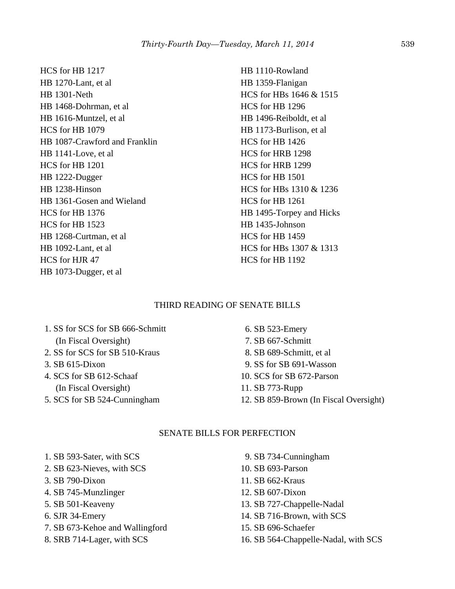HCS for HB 1217 HB 1270-Lant, et al HB 1301-Neth HB 1468-Dohrman, et al HB 1616-Muntzel, et al HCS for HB 1079 HB 1087-Crawford and Franklin HB 1141-Love, et al HCS for HB 1201 HB 1222-Dugger HB 1238-Hinson HB 1361-Gosen and Wieland HCS for HB 1376 HCS for HB 1523 HB 1268-Curtman, et al HB 1092-Lant, et al HCS for HJR 47 HB 1073-Dugger, et al

HB 1110-Rowland HB 1359-Flanigan HCS for HBs 1646 & 1515 HCS for HB 1296 HB 1496-Reiboldt, et al HB 1173-Burlison, et al HCS for HB 1426 HCS for HRB 1298 HCS for HRB 1299 HCS for HB 1501 HCS for HBs 1310 & 1236 HCS for HB 1261 HB 1495-Torpey and Hicks HB 1435-Johnson HCS for HB 1459 HCS for HBs 1307 & 1313 HCS for HB 1192

# THIRD READING OF SENATE BILLS

 1. SS for SCS for SB 666-Schmitt (In Fiscal Oversight) 2. SS for SCS for SB 510-Kraus

- 3. SB 615-Dixon
- 4. SCS for SB 612-Schaaf (In Fiscal Oversight)
- 5. SCS for SB 524-Cunningham

 6. SB 523-Emery 7. SB 667-Schmitt 8. SB 689-Schmitt, et al 9. SS for SB 691-Wasson 10. SCS for SB 672-Parson 11. SB 773-Rupp 12. SB 859-Brown (In Fiscal Oversight)

# SENATE BILLS FOR PERFECTION

- 1. SB 593-Sater, with SCS
- 2. SB 623-Nieves, with SCS
- 3. SB 790-Dixon
- 4. SB 745-Munzlinger
- 5. SB 501-Keaveny
- 6. SJR 34-Emery
- 7. SB 673-Kehoe and Wallingford
- 8. SRB 714-Lager, with SCS
- 9. SB 734-Cunningham 10. SB 693-Parson 11. SB 662-Kraus 12. SB 607-Dixon 13. SB 727-Chappelle-Nadal 14. SB 716-Brown, with SCS 15. SB 696-Schaefer
- 16. SB 564-Chappelle-Nadal, with SCS